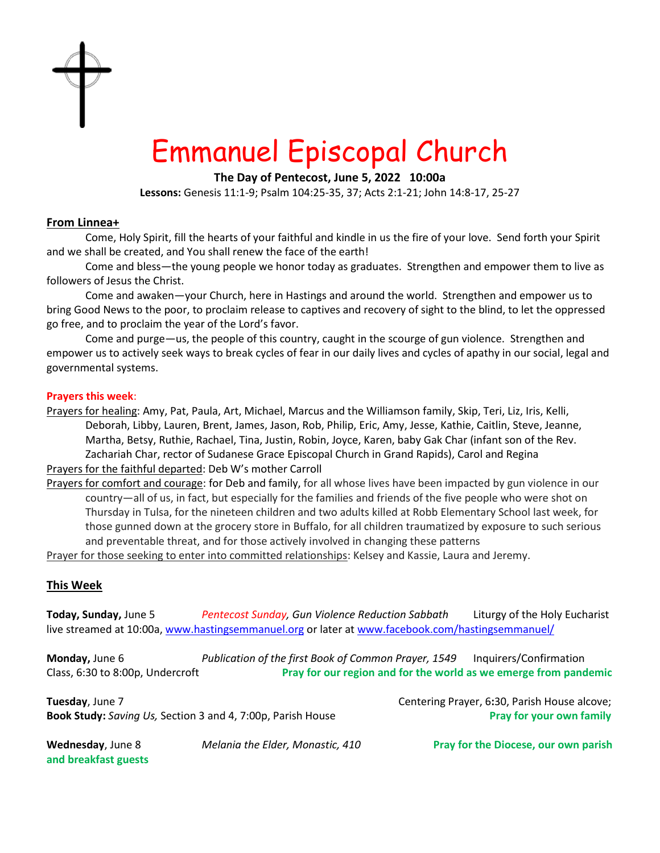

# Emmanuel Episcopal Church

**The Day of Pentecost, June 5, 2022 10:00a**

**Lessons:** Genesis 11:1-9; Psalm 104:25-35, 37; Acts 2:1-21; John 14:8-17, 25-27

# **From Linnea+**

Come, Holy Spirit, fill the hearts of your faithful and kindle in us the fire of your love. Send forth your Spirit and we shall be created, and You shall renew the face of the earth!

Come and bless—the young people we honor today as graduates. Strengthen and empower them to live as followers of Jesus the Christ.

Come and awaken—your Church, here in Hastings and around the world. Strengthen and empower us to bring Good News to the poor, to proclaim release to captives and recovery of sight to the blind, to let the oppressed go free, and to proclaim the year of the Lord's favor.

Come and purge—us, the people of this country, caught in the scourge of gun violence. Strengthen and empower us to actively seek ways to break cycles of fear in our daily lives and cycles of apathy in our social, legal and governmental systems.

### **Prayers this week**:

Prayers for healing: Amy, Pat, Paula, Art, Michael, Marcus and the Williamson family, Skip, Teri, Liz, Iris, Kelli, Deborah, Libby, Lauren, Brent, James, Jason, Rob, Philip, Eric, Amy, Jesse, Kathie, Caitlin, Steve, Jeanne, Martha, Betsy, Ruthie, Rachael, Tina, Justin, Robin, Joyce, Karen, baby Gak Char (infant son of the Rev. Zachariah Char, rector of Sudanese Grace Episcopal Church in Grand Rapids), Carol and Regina

Prayers for the faithful departed: Deb W's mother Carroll

Prayers for comfort and courage: for Deb and family, for all whose lives have been impacted by gun violence in our country—all of us, in fact, but especially for the families and friends of the five people who were shot on Thursday in Tulsa, for the nineteen children and two adults killed at Robb Elementary School last week, for those gunned down at the grocery store in Buffalo, for all children traumatized by exposure to such serious and preventable threat, and for those actively involved in changing these patterns

Prayer for those seeking to enter into committed relationships: Kelsey and Kassie, Laura and Jeremy.

# **This Week**

**Today, Sunday,** June 5 *Pentecost Sunday, Gun Violence Reduction Sabbath* Liturgy of the Holy Eucharist live streamed at 10:00a[, www.hastingsemmanuel.org](http://www.hastingsemmanuel.org/) or later at www.facebook.com/hastingsemmanuel/

**Monday,** June 6 *Publication of the first Book of Common Prayer, 1549* Inquirers/Confirmation Class, 6:30 to 8:00p, Undercroft **Pray for our region and for the world as we emerge from pandemic**

**Tuesday**, June 7 Centering Prayer, 6:30, Parish House alcove; **Book Study:** *Saving Us,* Section 3 and 4, 7:00p, Parish House **Pray 1998 12:00 Pray for your own family** 

**and breakfast guests** 

**Wednesday**, June 8 *Melania the Elder, Monastic, 410* **Pray for the Diocese, our own parish**